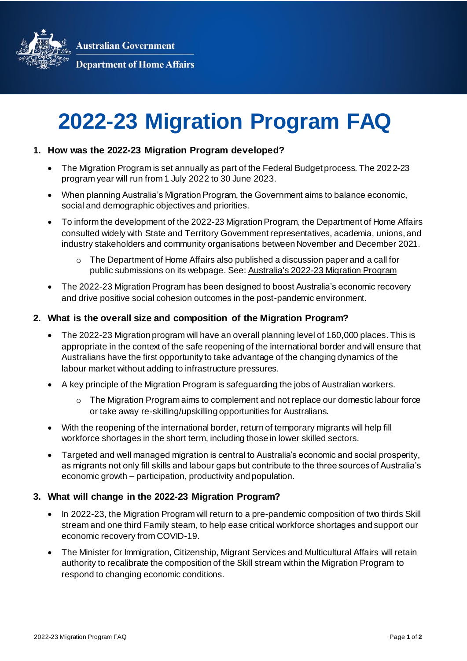**Australian Government** 



**Department of Home Affairs** 

# **2022-23 Migration Program FAQ**

## **1. How was the 2022-23 Migration Program developed?**

- The Migration Program is set annually as part of the Federal Budget process. The 2022-23 program year will run from 1 July 2022 to 30 June 2023.
- When planning Australia's Migration Program, the Government aims to balance economic, social and demographic objectives and priorities.
- To inform the development of the 2022-23 Migration Program, the Department of Home Affairs consulted widely with State and Territory Government representatives, academia, unions, and industry stakeholders and community organisations between November and December 2021.
	- $\circ$  The Department of Home Affairs also published a discussion paper and a call for public submissions on its webpage. See[: Australia's 2022-23 Migration Program](https://www.homeaffairs.gov.au/help-and-support/how-to-engage-us/consultations/australias-22-23-migration-program)
- The 2022-23 Migration Program has been designed to boost Australia's economic recovery and drive positive social cohesion outcomes in the post-pandemic environment.

#### **2. What is the overall size and composition of the Migration Program?**

- The 2022-23 Migration program will have an overall planning level of 160,000 places. This is appropriate in the context of the safe reopening of the international border and will ensure that Australians have the first opportunity to take advantage of the changing dynamics of the labour market without adding to infrastructure pressures.
- A key principle of the Migration Program is safeguarding the jobs of Australian workers.
	- o The Migration Program aims to complement and not replace our domestic labour force or take away re-skilling/upskilling opportunities for Australians.
- With the reopening of the international border, return of temporary migrants will help fill workforce shortages in the short term, including those in lower skilled sectors.
- Targeted and well managed migration is central to Australia's economic and social prosperity, as migrants not only fill skills and labour gaps but contribute to the three sources of Australia's economic growth – participation, productivity and population.

# **3. What will change in the 2022-23 Migration Program?**

- In 2022-23, the Migration Program will return to a pre-pandemic composition of two thirds Skill stream and one third Family steam, to help ease critical workforce shortages and support our economic recovery from COVID-19.
- The Minister for Immigration, Citizenship, Migrant Services and Multicultural Affairs will retain authority to recalibrate the composition of the Skill stream within the Migration Program to respond to changing economic conditions.